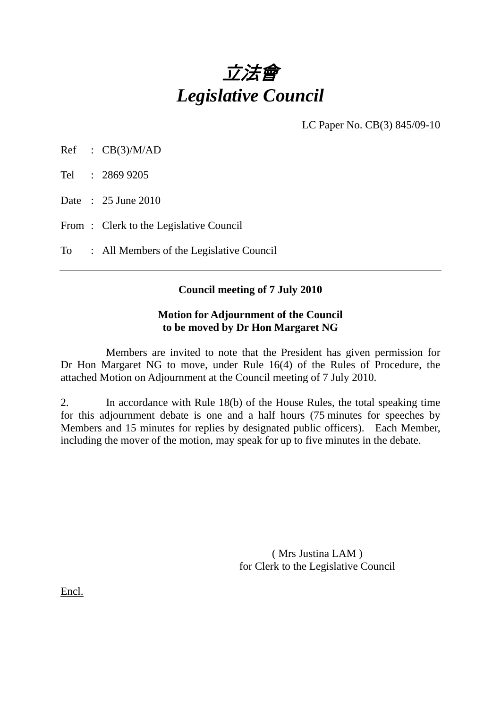

LC Paper No. CB(3) 845/09-10

 $Ref$  :  $CB(3)/M/AD$ 

Tel : 2869 9205

Date : 25 June 2010

From: Clerk to the Legislative Council

To : All Members of the Legislative Council

## **Council meeting of 7 July 2010**

## **Motion for Adjournment of the Council to be moved by Dr Hon Margaret NG**

 Members are invited to note that the President has given permission for Dr Hon Margaret NG to move, under Rule 16(4) of the Rules of Procedure, the attached Motion on Adjournment at the Council meeting of 7 July 2010.

2. In accordance with Rule 18(b) of the House Rules, the total speaking time for this adjournment debate is one and a half hours (75 minutes for speeches by Members and 15 minutes for replies by designated public officers). Each Member, including the mover of the motion, may speak for up to five minutes in the debate.

> ( Mrs Justina LAM ) for Clerk to the Legislative Council

Encl.